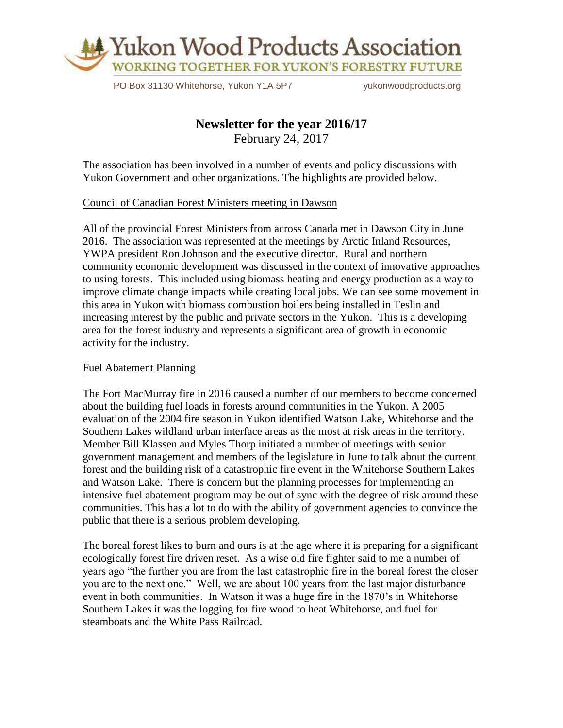

PO Box 31130 Whitehorse, Yukon Y1A 5P7 vukonwoodproducts.org

# **Newsletter for the year 2016/17**

February 24, 2017

The association has been involved in a number of events and policy discussions with Yukon Government and other organizations. The highlights are provided below.

#### Council of Canadian Forest Ministers meeting in Dawson

All of the provincial Forest Ministers from across Canada met in Dawson City in June 2016. The association was represented at the meetings by Arctic Inland Resources, YWPA president Ron Johnson and the executive director. Rural and northern community economic development was discussed in the context of innovative approaches to using forests. This included using biomass heating and energy production as a way to improve climate change impacts while creating local jobs. We can see some movement in this area in Yukon with biomass combustion boilers being installed in Teslin and increasing interest by the public and private sectors in the Yukon. This is a developing area for the forest industry and represents a significant area of growth in economic activity for the industry.

#### Fuel Abatement Planning

The Fort MacMurray fire in 2016 caused a number of our members to become concerned about the building fuel loads in forests around communities in the Yukon. A 2005 evaluation of the 2004 fire season in Yukon identified Watson Lake, Whitehorse and the Southern Lakes wildland urban interface areas as the most at risk areas in the territory. Member Bill Klassen and Myles Thorp initiated a number of meetings with senior government management and members of the legislature in June to talk about the current forest and the building risk of a catastrophic fire event in the Whitehorse Southern Lakes and Watson Lake. There is concern but the planning processes for implementing an intensive fuel abatement program may be out of sync with the degree of risk around these communities. This has a lot to do with the ability of government agencies to convince the public that there is a serious problem developing.

The boreal forest likes to burn and ours is at the age where it is preparing for a significant ecologically forest fire driven reset. As a wise old fire fighter said to me a number of years ago "the further you are from the last catastrophic fire in the boreal forest the closer you are to the next one." Well, we are about 100 years from the last major disturbance event in both communities. In Watson it was a huge fire in the 1870's in Whitehorse Southern Lakes it was the logging for fire wood to heat Whitehorse, and fuel for steamboats and the White Pass Railroad.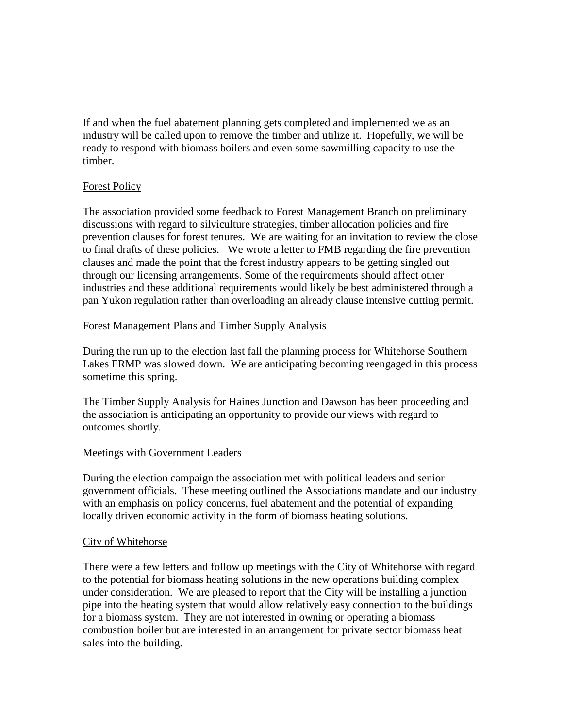If and when the fuel abatement planning gets completed and implemented we as an industry will be called upon to remove the timber and utilize it. Hopefully, we will be ready to respond with biomass boilers and even some sawmilling capacity to use the timber.

## Forest Policy

The association provided some feedback to Forest Management Branch on preliminary discussions with regard to silviculture strategies, timber allocation policies and fire prevention clauses for forest tenures. We are waiting for an invitation to review the close to final drafts of these policies. We wrote a letter to FMB regarding the fire prevention clauses and made the point that the forest industry appears to be getting singled out through our licensing arrangements. Some of the requirements should affect other industries and these additional requirements would likely be best administered through a pan Yukon regulation rather than overloading an already clause intensive cutting permit.

#### Forest Management Plans and Timber Supply Analysis

During the run up to the election last fall the planning process for Whitehorse Southern Lakes FRMP was slowed down. We are anticipating becoming reengaged in this process sometime this spring.

The Timber Supply Analysis for Haines Junction and Dawson has been proceeding and the association is anticipating an opportunity to provide our views with regard to outcomes shortly.

## Meetings with Government Leaders

During the election campaign the association met with political leaders and senior government officials. These meeting outlined the Associations mandate and our industry with an emphasis on policy concerns, fuel abatement and the potential of expanding locally driven economic activity in the form of biomass heating solutions.

## City of Whitehorse

There were a few letters and follow up meetings with the City of Whitehorse with regard to the potential for biomass heating solutions in the new operations building complex under consideration. We are pleased to report that the City will be installing a junction pipe into the heating system that would allow relatively easy connection to the buildings for a biomass system. They are not interested in owning or operating a biomass combustion boiler but are interested in an arrangement for private sector biomass heat sales into the building.